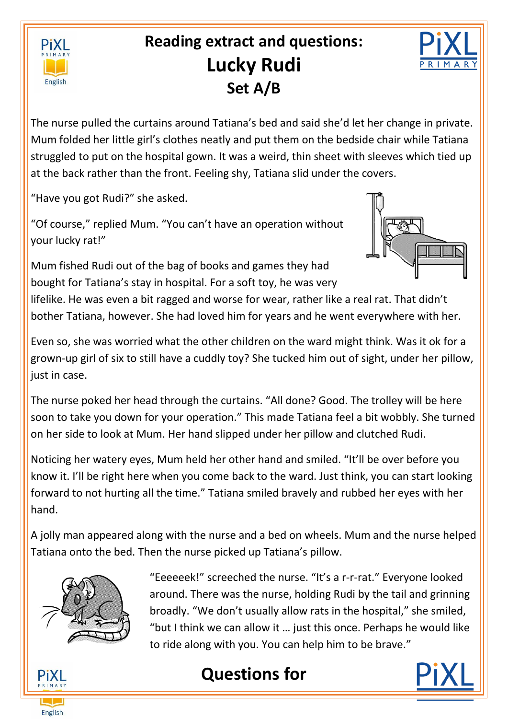

# **Reading extract and questions: Lucky Rudi Set A/B**



The nurse pulled the curtains around Tatiana's bed and said she'd let her change in private. Mum folded her little girl's clothes neatly and put them on the bedside chair while Tatiana struggled to put on the hospital gown. It was a weird, thin sheet with sleeves which tied up at the back rather than the front. Feeling shy, Tatiana slid under the covers.

"Have you got Rudi?" she asked.

"Of course," replied Mum. "You can't have an operation without your lucky rat!"

Mum fished Rudi out of the bag of books and games they had bought for Tatiana's stay in hospital. For a soft toy, he was very



lifelike. He was even a bit ragged and worse for wear, rather like a real rat. That didn't bother Tatiana, however. She had loved him for years and he went everywhere with her.

Even so, she was worried what the other children on the ward might think. Was it ok for a grown-up girl of six to still have a cuddly toy? She tucked him out of sight, under her pillow, just in case.

The nurse poked her head through the curtains. "All done? Good. The trolley will be here soon to take you down for your operation." This made Tatiana feel a bit wobbly. She turned on her side to look at Mum. Her hand slipped under her pillow and clutched Rudi.

Noticing her watery eyes, Mum held her other hand and smiled. "It'll be over before you know it. I'll be right here when you come back to the ward. Just think, you can start looking forward to not hurting all the time." Tatiana smiled bravely and rubbed her eyes with her hand.

A jolly man appeared along with the nurse and a bed on wheels. Mum and the nurse helped Tatiana onto the bed. Then the nurse picked up Tatiana's pillow.



"Eeeeeek!" screeched the nurse. "It's a r-r-rat." Everyone looked around. There was the nurse, holding Rudi by the tail and grinning broadly. "We don't usually allow rats in the hospital," she smiled, "but I think we can allow it … just this once. Perhaps he would like to ride along with you. You can help him to be brave."





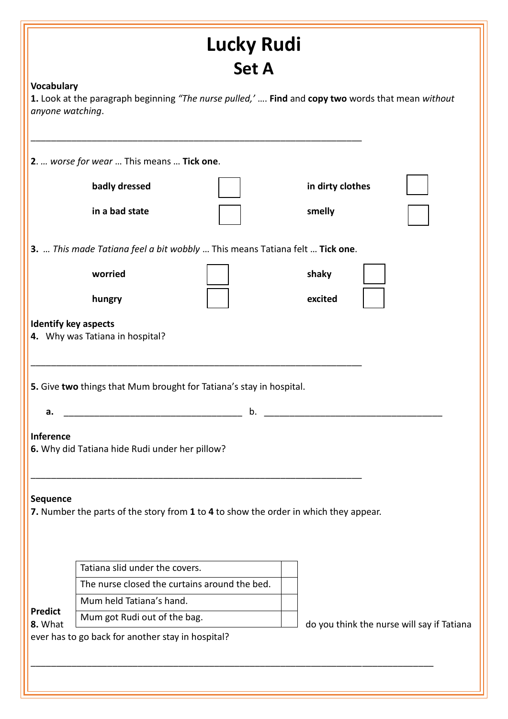|                                | <b>Lucky Rudi</b>                                                                                                                      |                                                                                                   |
|--------------------------------|----------------------------------------------------------------------------------------------------------------------------------------|---------------------------------------------------------------------------------------------------|
|                                | <b>Set A</b>                                                                                                                           |                                                                                                   |
| Vocabulary<br>anyone watching. |                                                                                                                                        | 1. Look at the paragraph beginning "The nurse pulled,'  Find and copy two words that mean without |
|                                | 2.  worse for wear  This means  Tick one.                                                                                              |                                                                                                   |
|                                | badly dressed                                                                                                                          | in dirty clothes                                                                                  |
|                                | in a bad state                                                                                                                         | smelly                                                                                            |
|                                | 3.  This made Tatiana feel a bit wobbly  This means Tatiana felt  Tick one.                                                            |                                                                                                   |
|                                | worried                                                                                                                                | shaky                                                                                             |
|                                | hungry                                                                                                                                 | excited                                                                                           |
| <b>Identify key aspects</b>    | 4. Why was Tatiana in hospital?<br>5. Give two things that Mum brought for Tatiana's stay in hospital.                                 |                                                                                                   |
| a.                             | b.                                                                                                                                     |                                                                                                   |
| <b>Inference</b><br>Sequence   | 6. Why did Tatiana hide Rudi under her pillow?<br>7. Number the parts of the story from 1 to 4 to show the order in which they appear. |                                                                                                   |
|                                | Tatiana slid under the covers.                                                                                                         |                                                                                                   |
|                                | The nurse closed the curtains around the bed.                                                                                          |                                                                                                   |
|                                | Mum held Tatiana's hand.                                                                                                               |                                                                                                   |
| <b>Predict</b><br>8. What      | Mum got Rudi out of the bag.                                                                                                           | do you think the nurse will say if Tatiana                                                        |
|                                | ever has to go back for another stay in hospital?                                                                                      |                                                                                                   |
|                                |                                                                                                                                        |                                                                                                   |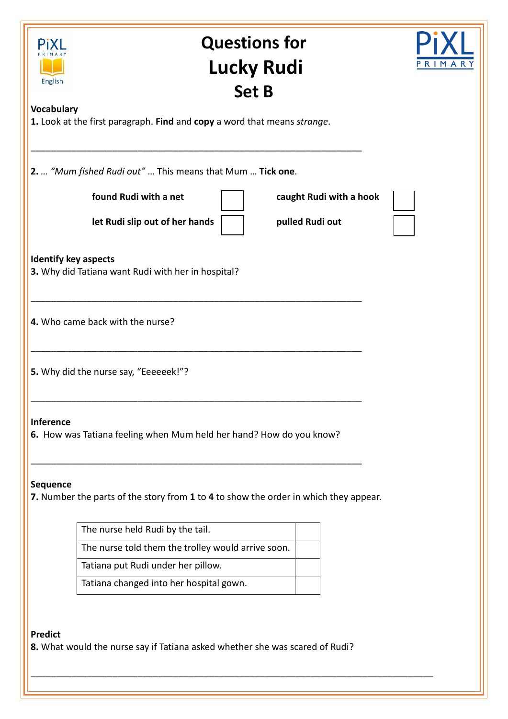| English<br><b>Vocabulary</b> | <b>Lucky Rudi</b><br><b>Set B</b>                                                                     | PRIMARY |
|------------------------------|-------------------------------------------------------------------------------------------------------|---------|
|                              | 1. Look at the first paragraph. Find and copy a word that means strange.                              |         |
|                              | 2.  "Mum fished Rudi out"  This means that Mum  Tick one.                                             |         |
|                              | found Rudi with a net<br>caught Rudi with a hook<br>let Rudi slip out of her hands<br>pulled Rudi out |         |
|                              | <b>Identify key aspects</b><br>3. Why did Tatiana want Rudi with her in hospital?                     |         |
|                              | 4. Who came back with the nurse?                                                                      |         |
|                              | 5. Why did the nurse say, "Eeeeeek!"?                                                                 |         |
|                              |                                                                                                       |         |
| <b>Inference</b>             | 6. How was Tatiana feeling when Mum held her hand? How do you know?                                   |         |
| <b>Sequence</b>              | 7. Number the parts of the story from 1 to 4 to show the order in which they appear.                  |         |
|                              | The nurse held Rudi by the tail.                                                                      |         |
|                              | The nurse told them the trolley would arrive soon.                                                    |         |
|                              | Tatiana put Rudi under her pillow.                                                                    |         |

\_\_\_\_\_\_\_\_\_\_\_\_\_\_\_\_\_\_\_\_\_\_\_\_\_\_\_\_\_\_\_\_\_\_\_\_\_\_\_\_\_\_\_\_\_\_\_\_\_\_\_\_\_\_\_\_\_\_\_\_\_\_\_\_\_\_\_\_\_\_\_\_\_\_\_\_\_\_\_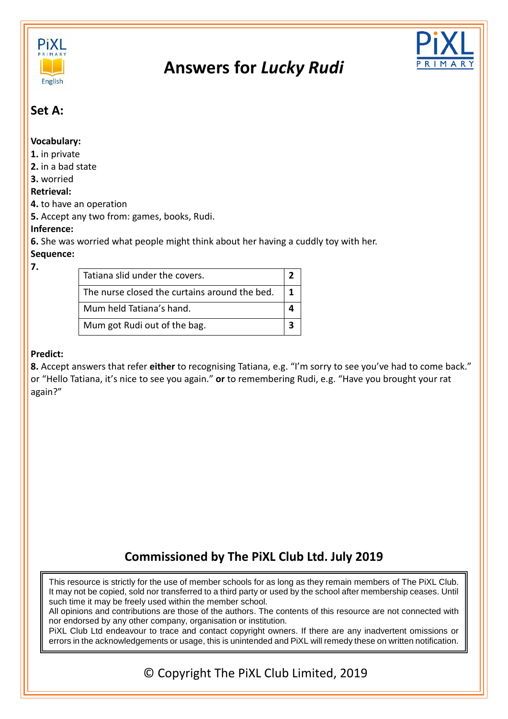

# **Answers for** *Lucky Rudi*



## **Set A:**

#### **Vocabulary:**

- **1.** in private
- **2.** in a bad state

### **3.** worried

#### **Retrieval:**

**4.** to have an operation

**5.** Accept any two from: games, books, Rudi.

### **Inference:**

**6.** She was worried what people might think about her having a cuddly toy with her.

### **Sequence:**

**7.**

| Tatiana slid under the covers.                |  |  |
|-----------------------------------------------|--|--|
| The nurse closed the curtains around the bed. |  |  |
| Mum held Tatiana's hand.                      |  |  |
| Mum got Rudi out of the bag.                  |  |  |

### **Predict:**

**8.** Accept answers that refer **either** to recognising Tatiana, e.g. "I'm sorry to see you've had to come back." or "Hello Tatiana, it's nice to see you again." **or** to remembering Rudi, e.g. "Have you brought your rat again?"

# **Commissioned by The PiXL Club Ltd. July 2019**

This resource is strictly for the use of member schools for as long as they remain members of The PiXL Club. It may not be copied, sold nor transferred to a third party or used by the school after membership ceases. Until such time it may be freely used within the member school.

All opinions and contributions are those of the authors. The contents of this resource are not connected with nor endorsed by any other company, organisation or institution.

PiXL Club Ltd endeavour to trace and contact copyright owners. If there are any inadvertent omissions or errors in the acknowledgements or usage, this is unintended and PiXL will remedy these on written notification.

© Copyright The PiXL Club Limited, 2019